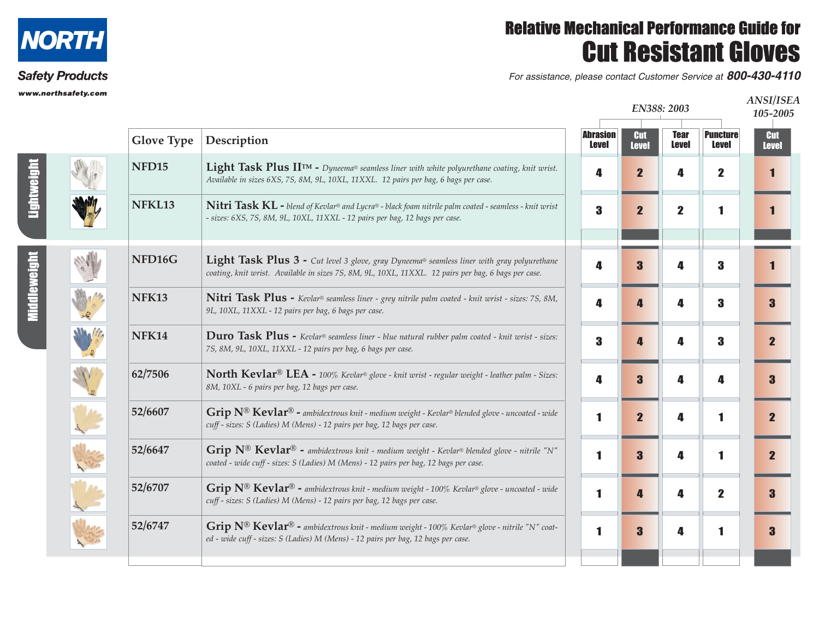

## **Safety Products**

www.northsafety.com

## Relative Mechanical Performance Guide for Cut Resistant Gloves

For assistance, please contact Customer Service at *800-430-4110*

| runsarety.com |                   |                                                                                                                                                                                                             |                                 | EN388: 2003                |                             |                                 |                            |
|---------------|-------------------|-------------------------------------------------------------------------------------------------------------------------------------------------------------------------------------------------------------|---------------------------------|----------------------------|-----------------------------|---------------------------------|----------------------------|
|               | <b>Glove Type</b> | Description                                                                                                                                                                                                 | <b>Abrasion</b><br><b>Level</b> | <b>Cut</b><br><b>Level</b> | <b>Tear</b><br><b>Level</b> | <b>Puncture</b><br><b>Level</b> | <b>Cut</b><br><b>Level</b> |
|               | NFD <sub>15</sub> | Light Task Plus IITM - Dyneema® seamless liner with white polyurethane coating, knit wrist.<br>Available in sizes 6XS, 7S, 8M, 9L, 10XL, 11XXL. 12 pairs per bag, 6 bags per case.                          | 4                               | $\overline{\mathbf{2}}$    | Д                           | $\mathbf 2$                     | 11                         |
|               | NFKL13            | <b>Nitri Task KL</b> - blend of Kevlar® and Lycra® - black foam nitrile palm coated - seamless - knit wrist<br>- sizes: 6XS, 7S, 8M, 9L, 10XL, 11XXL - 12 pairs per bag, 12 bags per case.                  | 3                               | $\overline{\mathbf{2}}$    | $\mathbf{2}$                | 1                               | 1                          |
|               | NFD16G            | <b>Light Task Plus 3 -</b> Cut level 3 glove, gray Dyneema® seamless liner with gray polyurethane<br>coating, knit wrist. Available in sizes 7S, 8M, 9L, 10XL, 11XXL. 12 pairs per bag, 6 bags per case.    | 4                               | 3                          | Д                           | 3                               |                            |
|               | <b>NFK13</b>      | Nitri Task Plus - Kevlar® seamless liner - grey nitrile palm coated - knit wrist - sizes: 7S, 8M,<br>9L, 10XL, 11XXL - 12 pairs per bag, 6 bags per case.                                                   | 4                               |                            | Δ                           | 3                               | $\bf{3}$                   |
|               | <b>NFK14</b>      | Duro Task Plus - Kevlar® seamless liner - blue natural rubber palm coated - knit wrist - sizes:<br>7S, 8M, 9L, 10XL, 11XXL - 12 pairs per bag, 6 bags per case.                                             | 3                               |                            | 4                           | 3                               | $\overline{\mathbf{2}}$    |
|               | 62/7506           | North Kevlar® LEA - 100% Kevlar® glove - knit wrist - regular weight - leather palm - Sizes:<br>8M, 10XL - 6 pairs per bag, 12 bags per case.                                                               | 4                               | 3                          | 4                           | Д                               | $\bf{3}$                   |
|               | 52/6607           | $\operatorname{Grip}$ N® $\operatorname{Kevlar}$ ® - ambidextrous knit - medium weight - Kevlar® blended glove - uncoated - wide<br>cuff - sizes: S (Ladies) M (Mens) - 12 pairs per bag, 12 bags per case. | 1                               | $\overline{\mathbf{2}}$    | 4                           |                                 | $\overline{\mathbf{2}}$    |
|               | 52/6647           | Grip $N^{\circledR}$ Kevlar <sup>®</sup> - ambidextrous knit - medium weight - Kevlar® blended glove - nitrile "N"<br>coated - wide cuff - sizes: S (Ladies) M (Mens) - 12 pairs per bag, 12 bags per case. | 1                               | 3                          | 4                           | 1                               | $\overline{\mathbf{2}}$    |
|               | 52/6707           | Grip $N^{\circledR}$ Kevlar <sup>®</sup> - ambidextrous knit - medium weight - 100% Kevlar® glove - uncoated - wide<br>cuff - sizes: S (Ladies) M (Mens) - 12 pairs per bag, 12 bags per case.              | 1                               | 7.                         | 4                           | $\mathbf 2$                     | $\bf{3}$                   |
|               | 52/6747           | Grip $N^{\circledR}$ Kevlar <sup>®</sup> - ambidextrous knit - medium weight - 100% Kevlar® glove - nitrile "N" coat-<br>ed - wide cuff - sizes: S (Ladies) M (Mens) - 12 pairs per bag, 12 bags per case.  | 1                               | 3                          | 4                           |                                 | $\bf{3}$                   |
|               |                   |                                                                                                                                                                                                             |                                 |                            |                             |                                 |                            |